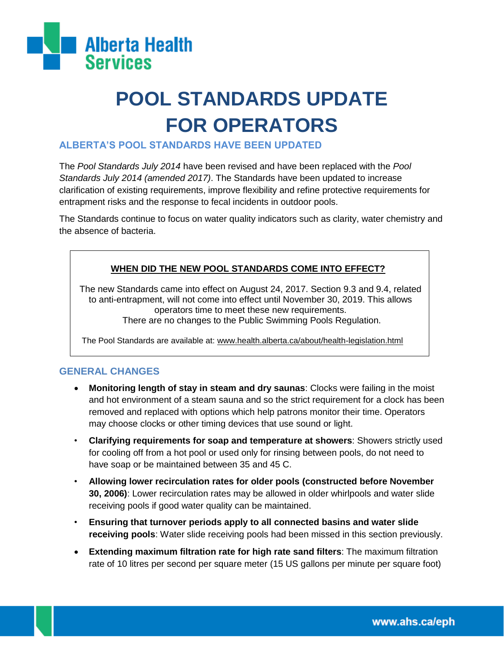

# **POOL STANDARDS UPDATE FOR OPERATORS**

### **ALBERTA'S POOL STANDARDS HAVE BEEN UPDATED**

The *Pool Standards July 2014* have been revised and have been replaced with the *Pool Standards July 2014 (amended 2017)*. The Standards have been updated to increase clarification of existing requirements, improve flexibility and refine protective requirements for entrapment risks and the response to fecal incidents in outdoor pools.

The Standards continue to focus on water quality indicators such as clarity, water chemistry and the absence of bacteria.

#### **WHEN DID THE NEW POOL STANDARDS COME INTO EFFECT?**

The new Standards came into effect on August 24, 2017. Section 9.3 and 9.4, related to anti-entrapment, will not come into effect until November 30, 2019. This allows operators time to meet these new requirements. There are no changes to the Public Swimming Pools Regulation.

The Pool Standards are available at: www.health.alberta.ca/about/health-legislation.html

#### **GENERAL CHANGES**

- **Monitoring length of stay in steam and dry saunas**: Clocks were failing in the moist and hot environment of a steam sauna and so the strict requirement for a clock has been removed and replaced with options which help patrons monitor their time. Operators may choose clocks or other timing devices that use sound or light.
- **Clarifying requirements for soap and temperature at showers**: Showers strictly used for cooling off from a hot pool or used only for rinsing between pools, do not need to have soap or be maintained between 35 and 45 C.
- **Allowing lower recirculation rates for older pools (constructed before November 30, 2006)**: Lower recirculation rates may be allowed in older whirlpools and water slide receiving pools if good water quality can be maintained.
- **Ensuring that turnover periods apply to all connected basins and water slide receiving pools**: Water slide receiving pools had been missed in this section previously.
- **Extending maximum filtration rate for high rate sand filters**: The maximum filtration rate of 10 litres per second per square meter (15 US gallons per minute per square foot)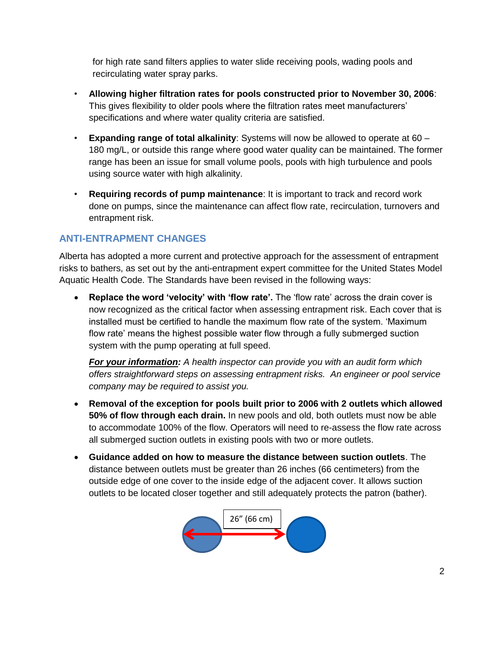for high rate sand filters applies to water slide receiving pools, wading pools and recirculating water spray parks.

- **Allowing higher filtration rates for pools constructed prior to November 30, 2006**: This gives flexibility to older pools where the filtration rates meet manufacturers' specifications and where water quality criteria are satisfied.
- **Expanding range of total alkalinity**: Systems will now be allowed to operate at 60 180 mg/L, or outside this range where good water quality can be maintained. The former range has been an issue for small volume pools, pools with high turbulence and pools using source water with high alkalinity.
- **Requiring records of pump maintenance**: It is important to track and record work done on pumps, since the maintenance can affect flow rate, recirculation, turnovers and entrapment risk.

## **ANTI-ENTRAPMENT CHANGES**

Alberta has adopted a more current and protective approach for the assessment of entrapment risks to bathers, as set out by the anti-entrapment expert committee for the United States Model Aquatic Health Code. The Standards have been revised in the following ways:

 **Replace the word 'velocity' with 'flow rate'.** The 'flow rate' across the drain cover is now recognized as the critical factor when assessing entrapment risk. Each cover that is installed must be certified to handle the maximum flow rate of the system. 'Maximum flow rate' means the highest possible water flow through a fully submerged suction system with the pump operating at full speed.

*For your information: A health inspector can provide you with an audit form which offers straightforward steps on assessing entrapment risks. An engineer or pool service company may be required to assist you.*

- **Removal of the exception for pools built prior to 2006 with 2 outlets which allowed 50% of flow through each drain.** In new pools and old, both outlets must now be able to accommodate 100% of the flow. Operators will need to re-assess the flow rate across all submerged suction outlets in existing pools with two or more outlets.
- **Guidance added on how to measure the distance between suction outlets**. The distance between outlets must be greater than 26 inches (66 centimeters) from the outside edge of one cover to the inside edge of the adjacent cover. It allows suction outlets to be located closer together and still adequately protects the patron (bather).

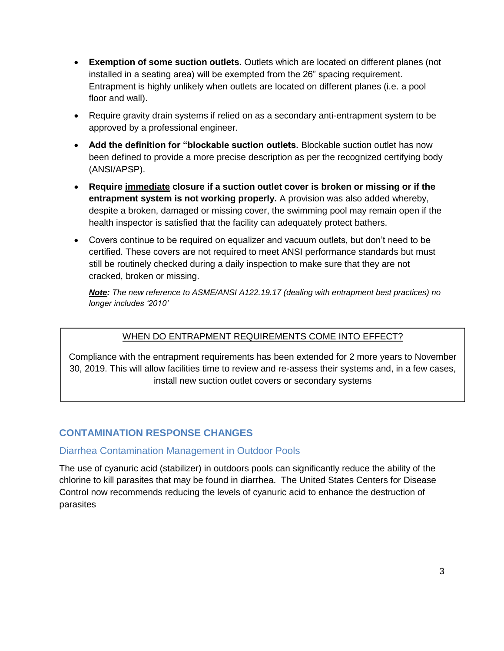- **Exemption of some suction outlets.** Outlets which are located on different planes (not installed in a seating area) will be exempted from the 26" spacing requirement. Entrapment is highly unlikely when outlets are located on different planes (i.e. a pool floor and wall).
- Require gravity drain systems if relied on as a secondary anti-entrapment system to be approved by a professional engineer.
- **Add the definition for "blockable suction outlets.** Blockable suction outlet has now been defined to provide a more precise description as per the recognized certifying body (ANSI/APSP).
- **Require immediate closure if a suction outlet cover is broken or missing or if the entrapment system is not working properly.** A provision was also added whereby, despite a broken, damaged or missing cover, the swimming pool may remain open if the health inspector is satisfied that the facility can adequately protect bathers.
- Covers continue to be required on equalizer and vacuum outlets, but don't need to be certified. These covers are not required to meet ANSI performance standards but must still be routinely checked during a daily inspection to make sure that they are not cracked, broken or missing.

*Note: The new reference to ASME/ANSI A122.19.17 (dealing with entrapment best practices) no longer includes '2010'*

### WHEN DO ENTRAPMENT REQUIREMENTS COME INTO EFFECT?

Compliance with the entrapment requirements has been extended for 2 more years to November 30, 2019. This will allow facilities time to review and re-assess their systems and, in a few cases, install new suction outlet covers or secondary systems

## **CONTAMINATION RESPONSE CHANGES**

### Diarrhea Contamination Management in Outdoor Pools

The use of cyanuric acid (stabilizer) in outdoors pools can significantly reduce the ability of the chlorine to kill parasites that may be found in diarrhea. The United States Centers for Disease Control now recommends reducing the levels of cyanuric acid to enhance the destruction of parasites